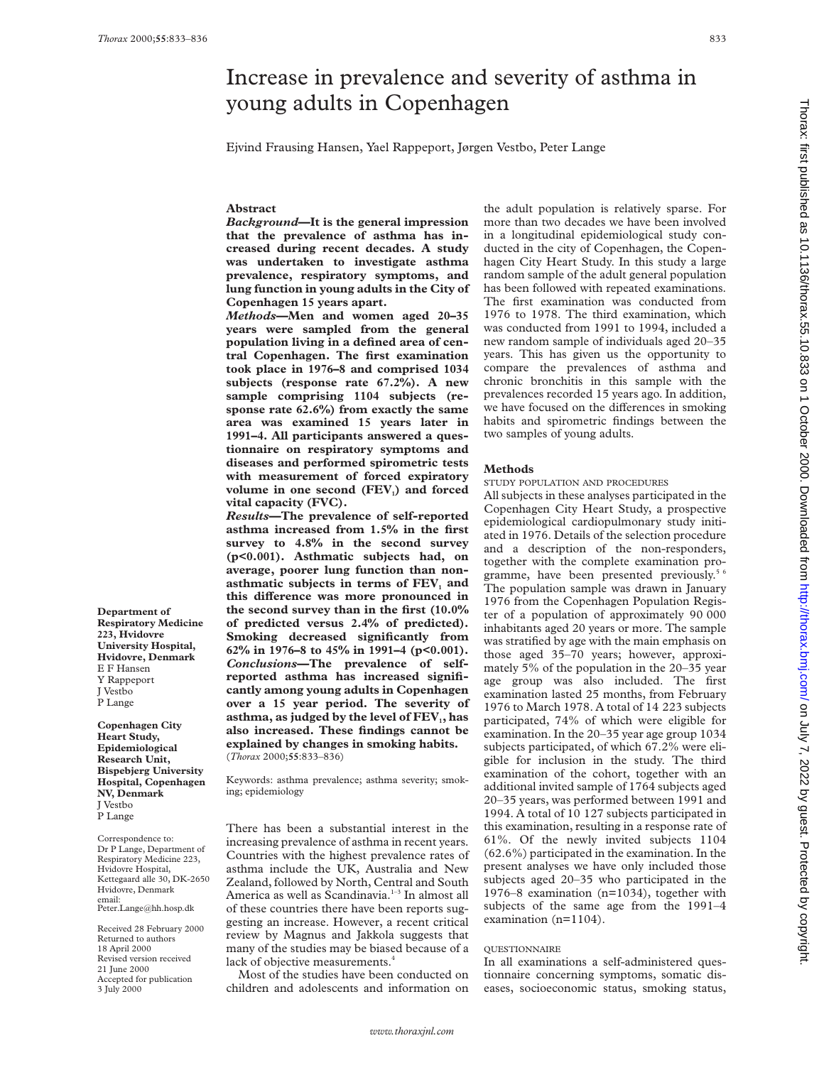**Abstract**

**vital capacity (FVC).**

(*Thorax* 2000;**55**:833–836)

# young adults in Copenhagen Ejvind Frausing Hansen, Yael Rappeport, Jørgen Vestbo, Peter Lange *Background***—It is the general impression that the prevalence of asthma has increased during recent decades. A study was undertaken to investigate asthma prevalence, respiratory symptoms, and lung function in young adults in the City of Copenhagen 15 years apart.** *Methods***—Men and women aged 20–35 years were sampled from the general population living in a defined area of central Copenhagen. The first examination took place in 1976–8 and comprised 1034 subjects (response rate 67.2%). A new sample comprising 1104 subjects (response rate 62.6%) from exactly the same area was examined 15 years later in 1991–4. All participants answered a questionnaire on respiratory symptoms and diseases and performed spirometric tests with measurement of forced expiratory** volume in one second (FEV<sub>1</sub>) and forced *Results***—The prevalence of self-reported asthma increased from 1.5% in the first survey to 4.8% in the second survey (p<0.001). Asthmatic subjects had, on average, poorer lung function than non**asthmatic subjects in terms of FEV<sub>1</sub> and this difference was more pronounced in **Methods**

Increase in prevalence and severity of asthma in

**Department of Respiratory Medicine 223, Hvidovre University Hospital, Hvidovre, Denmark** E F Hansen Y Rappeport J Vestbo P Lange

**Copenhagen City Heart Study, Epidemiological Research Unit, Bispebjerg University Hospital, Copenhagen NV, Denmark** J Vestbo P Lange

Correspondence to: Dr P Lange, Department of Respiratory Medicine 223, Hvidovre Hospital, Kettegaard alle 30, DK-2650 Hvidovre, Denmark email: Peter.Lange@hh.hosp.dk

Received 28 February 2000 Returned to authors 18 April 2000 Revised version received 21 June 2000 Accepted for publication 3 July 2000

Keywords: asthma prevalence; asthma severity; smoking; epidemiology

**the second survey than in the first (10.0% of predicted versus 2.4% of predicted). Smoking decreased significantly from 62% in 1976–8 to 45% in 1991–4 (p<0.001).** *Conclusions***—The prevalence of selfreported asthma has increased significantly among young adults in Copenhagen over a 15 year period. The severity of** asthma, as judged by the level of FEV<sub>1</sub>, has **also increased. These findings cannot be explained by changes in smoking habits.**

There has been a substantial interest in the increasing prevalence of asthma in recent years. Countries with the highest prevalence rates of asthma include the UK, Australia and New Zealand, followed by North, Central and South America as well as Scandinavia.<sup>1-3</sup> In almost all of these countries there have been reports suggesting an increase. However, a recent critical review by Magnus and Jakkola suggests that many of the studies may be biased because of a lack of objective measurements.<sup>4</sup>

Most of the studies have been conducted on children and adolescents and information on

the adult population is relatively sparse. For more than two decades we have been involved in a longitudinal epidemiological study conducted in the city of Copenhagen, the Copenhagen City Heart Study. In this study a large random sample of the adult general population has been followed with repeated examinations. The first examination was conducted from 1976 to 1978. The third examination, which was conducted from 1991 to 1994, included a new random sample of individuals aged 20–35 years. This has given us the opportunity to compare the prevalences of asthma and chronic bronchitis in this sample with the prevalences recorded 15 years ago. In addition, we have focused on the differences in smoking habits and spirometric findings between the two samples of young adults.

STUDY POPULATION AND PROCEDURES

All subjects in these analyses participated in the Copenhagen City Heart Study, a prospective epidemiological cardiopulmonary study initiated in 1976. Details of the selection procedure and a description of the non-responders, together with the complete examination programme, have been presented previously.<sup>5 6</sup> The population sample was drawn in January 1976 from the Copenhagen Population Register of a population of approximately 90 000 inhabitants aged 20 years or more. The sample was stratified by age with the main emphasis on those aged 35–70 years; however, approximately 5% of the population in the 20–35 year age group was also included. The first examination lasted 25 months, from February 1976 to March 1978. A total of 14 223 subjects participated, 74% of which were eligible for examination. In the 20–35 year age group 1034 subjects participated, of which 67.2% were eligible for inclusion in the study. The third examination of the cohort, together with an additional invited sample of 1764 subjects aged 20–35 years, was performed between 1991 and 1994. A total of 10 127 subjects participated in this examination, resulting in a response rate of 61%. Of the newly invited subjects 1104 (62.6%) participated in the examination. In the present analyses we have only included those subjects aged 20–35 who participated in the 1976–8 examination (n=1034), together with subjects of the same age from the 1991–4 examination (n=1104).

## **QUESTIONNAIRE**

In all examinations a self-administered questionnaire concerning symptoms, somatic diseases, socioeconomic status, smoking status,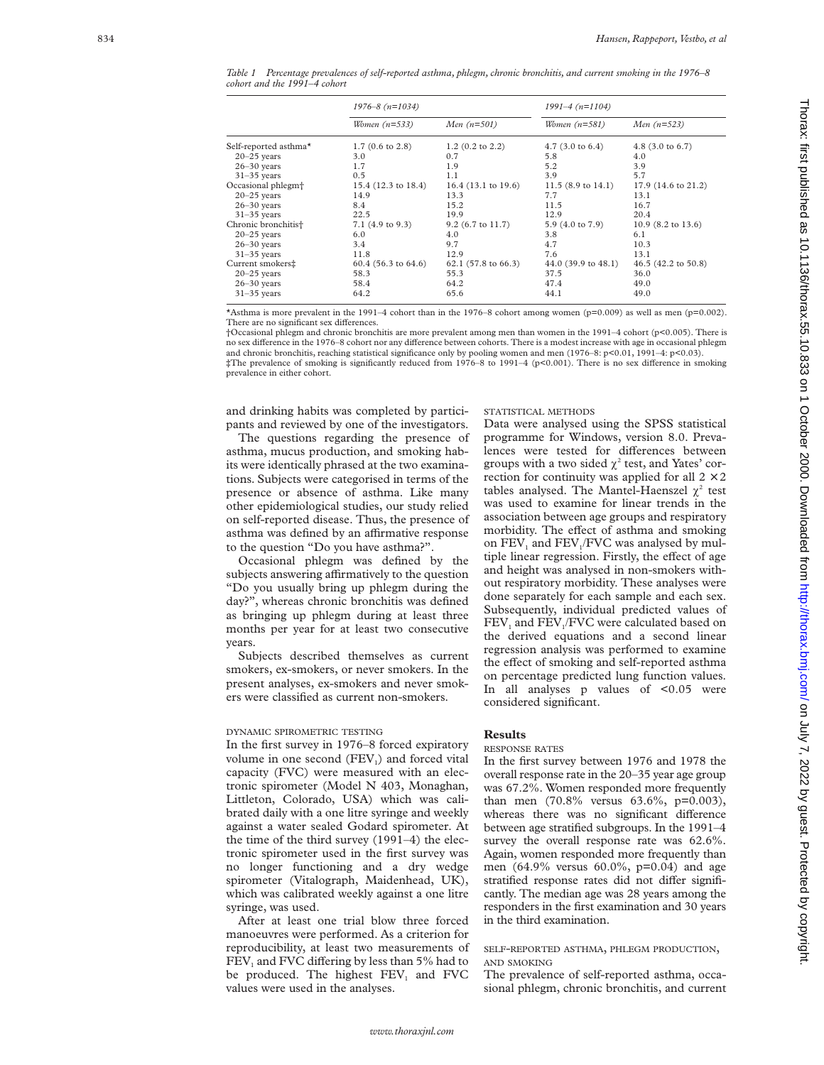*Table 1 Percentage prevalences of self-reported asthma, phlegm, chronic bronchitis, and current smoking in the 1976–8 cohort and the 1991–4 cohort*

|                                 | $1976 - 8(n=1034)$         |                       | $1991 - 4(n=1104)$            |                               |
|---------------------------------|----------------------------|-----------------------|-------------------------------|-------------------------------|
|                                 | Women $(n=533)$            | Men $(n=501)$         | Women $(n=581)$               | <i>Men</i> $(n=523)$          |
| Self-reported asthma*           | $1.7(0.6 \text{ to } 2.8)$ | $1.2$ (0.2 to 2.2)    | 4.7 $(3.0 \text{ to } 6.4)$   | 4.8 $(3.0 \text{ to } 6.7)$   |
| $20 - 25$ years                 | 3.0                        | 0.7                   | 5.8                           | 4.0                           |
| $26 - 30$ years                 | 1.7                        | 1.9                   | 5.2                           | 3.9                           |
| $31-35$ years                   | 0.5                        | 1.1                   | 3.9                           | 5.7                           |
| Occasional phlegm <sup>+</sup>  | 15.4 (12.3 to 18.4)        | $16.4$ (13.1 to 19.6) | 11.5 $(8.9 \text{ to } 14.1)$ | 17.9 (14.6 to 21.2)           |
| $20 - 25$ years                 | 14.9                       | 13.3                  | 7.7                           | 13.1                          |
| $26 - 30$ years                 | 8.4                        | 15.2                  | 11.5                          | 16.7                          |
| $31-35$ years                   | 22.5                       | 19.9                  | 12.9                          | 20.4                          |
| Chronic bronchitis <sup>+</sup> | $7.1$ (4.9 to 9.3)         | $9.2$ (6.7 to 11.7)   | 5.9 (4.0 to 7.9)              | 10.9 $(8.2 \text{ to } 13.6)$ |
| $20 - 25$ years                 | 6.0                        | 4.0                   | 3.8                           | 6.1                           |
| $26 - 30$ years                 | 3.4                        | 9.7                   | 4.7                           | 10.3                          |
| $31-35$ years                   | 11.8                       | 12.9                  | 7.6                           | 13.1                          |
| Current smokers‡                | $60.4$ (56.3 to 64.6)      | $62.1$ (57.8 to 66.3) | $44.0(39.9 \text{ to } 48.1)$ | 46.5 (42.2 to 50.8)           |
| $20 - 25$ years                 | 58.3                       | 55.3                  | 37.5                          | 36.0                          |
| $26 - 30$ years                 | 58.4                       | 64.2                  | 47.4                          | 49.0                          |
| $31-35$ years                   | 64.2                       | 65.6                  | 44.1                          | 49.0                          |

\*Asthma is more prevalent in the 1991–4 cohort than in the 1976–8 cohort among women (p=0.009) as well as men (p=0.002). There are no significant sex differences.

†Occasional phlegm and chronic bronchitis are more prevalent among men than women in the 1991–4 cohort (p<0.005). There is no sex difference in the 1976–8 cohort nor any difference between cohorts. There is a modest increase with age in occasional phlegm and chronic bronchitis, reaching statistical significance only by pooling women and men (1976–8: p<0.01, 1991–4: p<0.03). ‡The prevalence of smoking is significantly reduced from 1976–8 to 1991–4 (p<0.001). There is no sex di Verence in smoking prevalence in either cohort.

and drinking habits was completed by participants and reviewed by one of the investigators.

The questions regarding the presence of asthma, mucus production, and smoking habits were identically phrased at the two examinations. Subjects were categorised in terms of the presence or absence of asthma. Like many other epidemiological studies, our study relied on self-reported disease. Thus, the presence of asthma was defined by an affirmative response to the question "Do you have asthma?".

Occasional phlegm was defined by the subjects answering affirmatively to the question "Do you usually bring up phlegm during the day?", whereas chronic bronchitis was defined as bringing up phlegm during at least three months per year for at least two consecutive years.

Subjects described themselves as current smokers, ex-smokers, or never smokers. In the present analyses, ex-smokers and never smokers were classified as current non-smokers.

### DYNAMIC SPIROMETRIC TESTING

In the first survey in 1976–8 forced expiratory volume in one second (FEV 1) and forced vital capacity (FVC) were measured with an electronic spirometer (Model N 403, Monaghan, Littleton, Colorado, USA) which was calibrated daily with a one litre syringe and weekly against a water sealed Godard spirometer. At the time of the third survey (1991–4) the electronic spirometer used in the first survey was no longer functioning and a dry wedge spirometer (Vitalograph, Maidenhead, UK), which was calibrated weekly against a one litre syringe, was used.

After at least one trial blow three forced manoeuvres were performed. As a criterion for reproducibility, at least two measurements of  $\text{FEV}_1$  and FVC differing by less than 5% had to be produced. The highest FEV <sup>1</sup> and FVC values were used in the analyses.

#### STATISTICAL METHODS

Data were analysed using the SPSS statistical programme for Windows, version 8.0. Prevalences were tested for differences between groups with a two sided  $\chi^2$  test, and Yates' correction for continuity was applied for all  $2 \times 2$ tables analysed. The Mantel-Haenszel  $\chi^2$  test was used to examine for linear trends in the association between age groups and respiratory morbidity. The effect of asthma and smoking on FEV<sub>1</sub> and FEV<sub>1</sub>/FVC was analysed by multiple linear regression. Firstly, the effect of age and height was analysed in non-smokers without respiratory morbidity. These analyses were done separately for each sample and each sex. Subsequently, individual predicted values of FEV <sup>1</sup> and FEV 1/FVC were calculated based on the derived equations and a second linear regression analysis was performed to examine the effect of smoking and self-reported asthma on percentage predicted lung function values. In all analyses  $p$  values of  $<0.05$  were considered significant.

# **Results**

## RESPONSE RATES

In the first survey between 1976 and 1978 the overall response rate in the 20–35 year age group was 67.2%. Women responded more frequently than men (70.8% versus 63.6%, p=0.003), whereas there was no significant difference between age stratified subgroups. In the 1991–4 survey the overall response rate was 62.6%. Again, women responded more frequently than men (64.9% versus 60.0%, p=0.04) and age stratified response rates did not differ significantly. The median age was 28 years among the responders in the first examination and 30 years in the third examination.

## SELF-REPORTED ASTHMA, PHLEGM PRODUCTION, AND SMOKING

The prevalence of self-reported asthma, occasional phlegm, chronic bronchitis, and current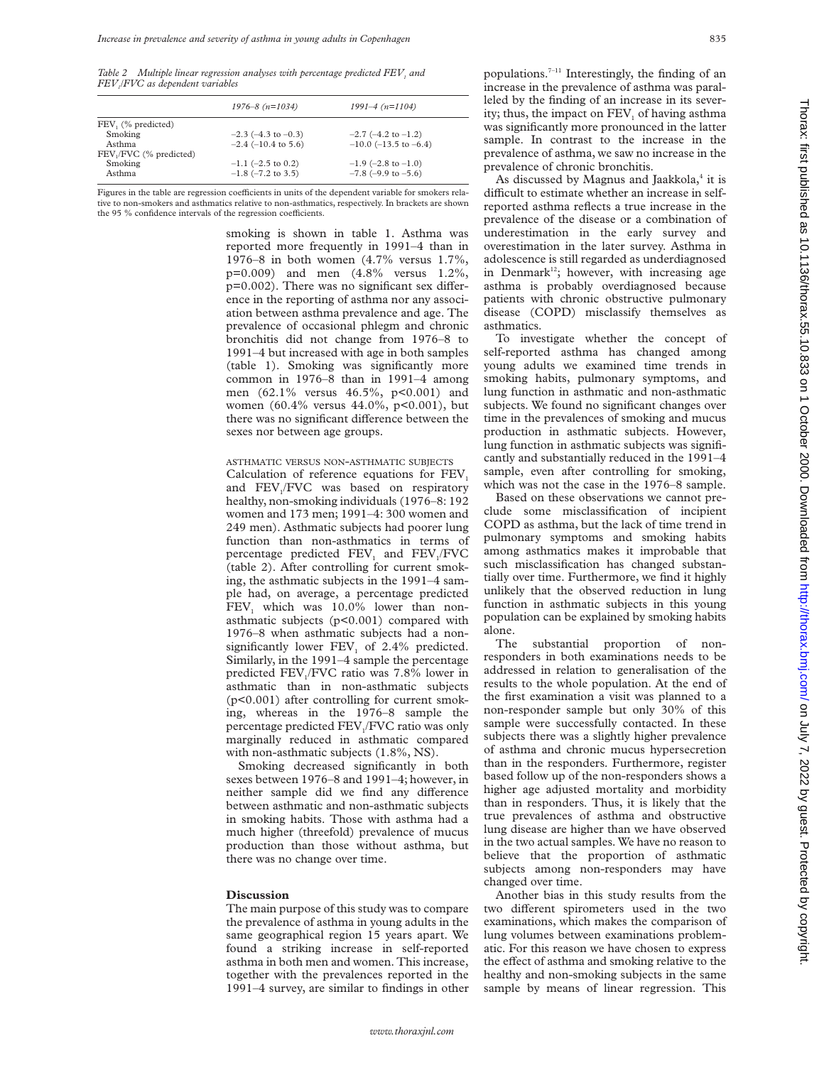*Table 2 Multiple linear regression analyses with percentage predicted FEV<sub>1</sub> and FEV1/FVC as dependent variables*

|                        | $1976 - 8(n=1034)$          | $1991 - 4(n=1104)$            |
|------------------------|-----------------------------|-------------------------------|
| FEV, (% predicted)     |                             |                               |
| Smoking                | $-2.3$ ( $-4.3$ to $-0.3$ ) | $-2.7$ ( $-4.2$ to $-1.2$ )   |
| Asthma                 | $-2.4$ ( $-10.4$ to 5.6)    | $-10.0$ ( $-13.5$ to $-6.4$ ) |
| FEV,/FVC (% predicted) |                             |                               |
| Smoking                | $-1.1$ (-2.5 to 0.2)        | $-1.9$ (-2.8 to $-1.0$ )      |
| Asthma                 | $-1.8$ ( $-7.2$ to 3.5)     | $-7.8$ (-9.9 to $-5.6$ )      |
|                        |                             |                               |

Figures in the table are regression coefficients in units of the dependent variable for smokers relative to non-smokers and asthmatics relative to non-asthmatics, respectively. In brackets are shown the 95 % confidence intervals of the regression coefficients.

> smoking is shown in table 1. Asthma was reported more frequently in 1991–4 than in 1976–8 in both women (4.7% versus 1.7%, p=0.009) and men (4.8% versus 1.2%,  $p=0.002$ ). There was no significant sex difference in the reporting of asthma nor any association between asthma prevalence and age. The prevalence of occasional phlegm and chronic bronchitis did not change from 1976–8 to 1991–4 but increased with age in both samples (table 1). Smoking was significantly more common in 1976–8 than in 1991–4 among men (62.1% versus 46.5%, p<0.001) and women (60.4% versus 44.0%, p<0.001), but there was no significant difference between the sexes nor between age groups.

# ASTHMATIC VERSUS NON-ASTHMATIC SUBJECTS

Calculation of reference equations for  $FEV<sub>1</sub>$ and FEV<sub>1</sub>/FVC was based on respiratory healthy, non-smoking individuals (1976–8: 192 women and 173 men; 1991–4: 300 women and 249 men). Asthmatic subjects had poorer lung function than non-asthmatics in terms of percentage predicted FEV<sub>1</sub> and FEV<sub>1</sub>/FVC (table 2). After controlling for current smoking, the asthmatic subjects in the 1991–4 sample had, on average, a percentage predicted FEV<sub>1</sub> which was 10.0% lower than nonasthmatic subjects (p<0.001) compared with 1976–8 when asthmatic subjects had a nonsignificantly lower  $FEV<sub>1</sub>$  of 2.4% predicted. Similarly, in the 1991–4 sample the percentage predicted  $FEV<sub>1</sub>/FVC$  ratio was 7.8% lower in asthmatic than in non-asthmatic subjects (p<0.001) after controlling for current smoking, whereas in the 1976–8 sample the percentage predicted FEV<sub>1</sub>/FVC ratio was only marginally reduced in asthmatic compared with non-asthmatic subjects (1.8%, NS).

Smoking decreased significantly in both sexes between 1976–8 and 1991–4; however, in neither sample did we find any difference between asthmatic and non-asthmatic subjects in smoking habits. Those with asthma had a much higher (threefold) prevalence of mucus production than those without asthma, but there was no change over time.

### **Discussion**

The main purpose of this study was to compare the prevalence of asthma in young adults in the same geographical region 15 years apart. We found a striking increase in self-reported asthma in both men and women. This increase, together with the prevalences reported in the 1991–4 survey, are similar to findings in other

populations.7–11 Interestingly, the finding of an increase in the prevalence of asthma was paralleled by the finding of an increase in its severity; thus, the impact on FEV<sub>1</sub> of having asthma was significantly more pronounced in the latter sample. In contrast to the increase in the prevalence of asthma, we saw no increase in the prevalence of chronic bronchitis.

As discussed by Magnus and Jaakkola, $4$  it is difficult to estimate whether an increase in selfreported asthma reflects a true increase in the prevalence of the disease or a combination of underestimation in the early survey and overestimation in the later survey. Asthma in adolescence is still regarded as underdiagnosed in Denmark<sup>12</sup>; however, with increasing age asthma is probably overdiagnosed because patients with chronic obstructive pulmonary disease (COPD) misclassify themselves as asthmatics.

To investigate whether the concept of self-reported asthma has changed among young adults we examined time trends in smoking habits, pulmonary symptoms, and lung function in asthmatic and non-asthmatic subjects. We found no significant changes over time in the prevalences of smoking and mucus production in asthmatic subjects. However, lung function in asthmatic subjects was significantly and substantially reduced in the 1991–4 sample, even after controlling for smoking, which was not the case in the 1976–8 sample.

Based on these observations we cannot preclude some misclassification of incipient COPD as asthma, but the lack of time trend in pulmonary symptoms and smoking habits among asthmatics makes it improbable that such misclassification has changed substantially over time. Furthermore, we find it highly unlikely that the observed reduction in lung function in asthmatic subjects in this young population can be explained by smoking habits alone.

The substantial proportion of nonresponders in both examinations needs to be addressed in relation to generalisation of the results to the whole population. At the end of the first examination a visit was planned to a non-responder sample but only 30% of this sample were successfully contacted. In these subjects there was a slightly higher prevalence of asthma and chronic mucus hypersecretion than in the responders. Furthermore, register based follow up of the non-responders shows a higher age adjusted mortality and morbidity than in responders. Thus, it is likely that the true prevalences of asthma and obstructive lung disease are higher than we have observed in the two actual samples. We have no reason to believe that the proportion of asthmatic subjects among non-responders may have changed over time.

Another bias in this study results from the two different spirometers used in the two examinations, which makes the comparison of lung volumes between examinations problematic. For this reason we have chosen to express the effect of asthma and smoking relative to the healthy and non-smoking subjects in the same sample by means of linear regression. This